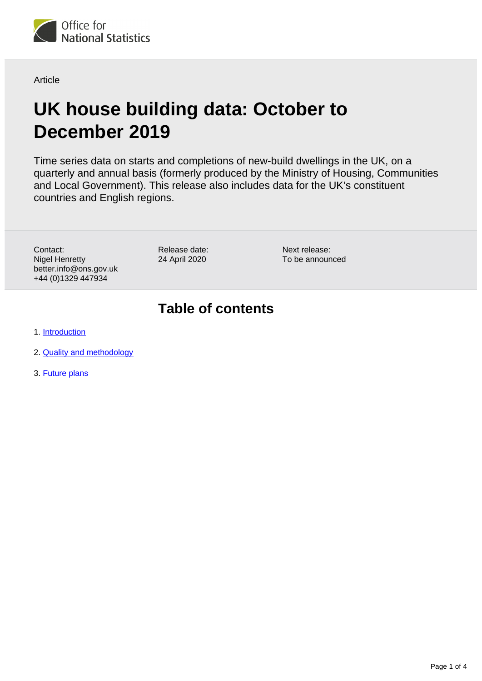<span id="page-0-0"></span>

**Article** 

# **UK house building data: October to December 2019**

Time series data on starts and completions of new-build dwellings in the UK, on a quarterly and annual basis (formerly produced by the Ministry of Housing, Communities and Local Government). This release also includes data for the UK's constituent countries and English regions.

Contact: Nigel Henretty better.info@ons.gov.uk +44 (0)1329 447934

Release date: 24 April 2020

Next release: To be announced

### **Table of contents**

1. [Introduction](#page-1-0)

- 2. [Quality and methodology](#page-1-1)
- 3. [Future plans](#page-3-0)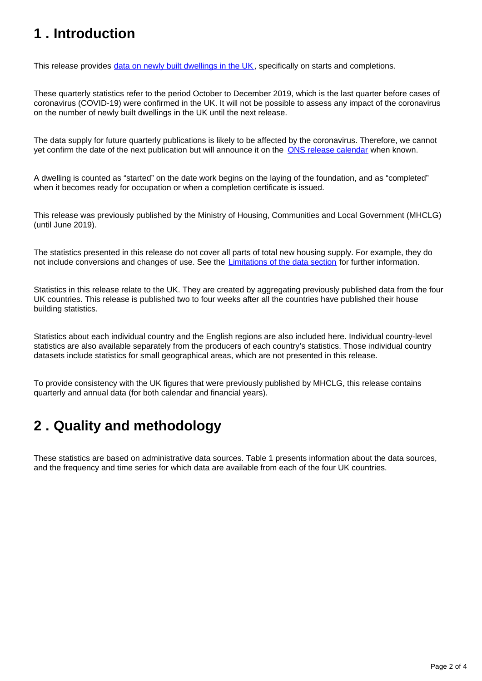## <span id="page-1-0"></span>**1 . Introduction**

This release provides [data on newly built dwellings in the UK](https://www.ons.gov.uk/peoplepopulationandcommunity/housing/articles/ukhousebuildingdata/octobertodecember2019/relateddata), specifically on starts and completions.

These quarterly statistics refer to the period October to December 2019, which is the last quarter before cases of coronavirus (COVID-19) were confirmed in the UK. It will not be possible to assess any impact of the coronavirus on the number of newly built dwellings in the UK until the next release.

The data supply for future quarterly publications is likely to be affected by the coronavirus. Therefore, we cannot yet confirm the date of the next publication but will announce it on the [ONS release calendar](https://www.ons.gov.uk/releasecalendar) when known.

A dwelling is counted as "started" on the date work begins on the laying of the foundation, and as "completed" when it becomes ready for occupation or when a completion certificate is issued.

This release was previously published by the Ministry of Housing, Communities and Local Government (MHCLG) (until June 2019).

The statistics presented in this release do not cover all parts of total new housing supply. For example, they do not include conversions and changes of use. See the *[Limitations of the data section](https://www.ons.gov.uk/peoplepopulationandcommunity/housing/articles/ukhousebuildingdata/octobertodecember2019#quality-and-methodology)* for further information.

Statistics in this release relate to the UK. They are created by aggregating previously published data from the four UK countries. This release is published two to four weeks after all the countries have published their house building statistics.

Statistics about each individual country and the English regions are also included here. Individual country-level statistics are also available separately from the producers of each country's statistics. Those individual country datasets include statistics for small geographical areas, which are not presented in this release.

To provide consistency with the UK figures that were previously published by MHCLG, this release contains quarterly and annual data (for both calendar and financial years).

## <span id="page-1-1"></span>**2 . Quality and methodology**

These statistics are based on administrative data sources. Table 1 presents information about the data sources, and the frequency and time series for which data are available from each of the four UK countries.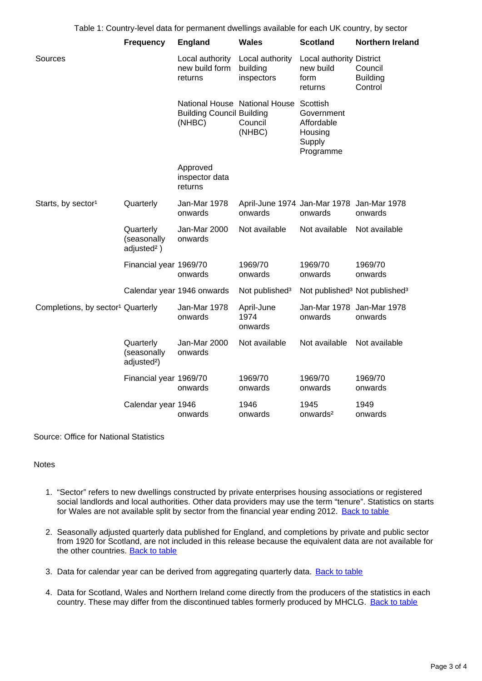|                                               | Table 1: Country-level data for permanent dwellings available for each UK country, by sector |                                              |                                                             |                                                            |                                                       |  |
|-----------------------------------------------|----------------------------------------------------------------------------------------------|----------------------------------------------|-------------------------------------------------------------|------------------------------------------------------------|-------------------------------------------------------|--|
|                                               | <b>Frequency</b>                                                                             | <b>England</b>                               | <b>Wales</b>                                                | <b>Scotland</b>                                            | <b>Northern Ireland</b>                               |  |
| Sources                                       |                                                                                              | Local authority<br>new build form<br>returns | Local authority<br>building<br>inspectors                   | Local authority District<br>new build<br>form<br>returns   | Council<br><b>Building</b><br>Control                 |  |
|                                               |                                                                                              | <b>Building Council Building</b><br>(NHBC)   | National House National House Scottish<br>Council<br>(NHBC) | Government<br>Affordable<br>Housing<br>Supply<br>Programme |                                                       |  |
|                                               |                                                                                              | Approved<br>inspector data<br>returns        |                                                             |                                                            |                                                       |  |
| Starts, by sector <sup>1</sup>                | Quarterly                                                                                    | Jan-Mar 1978<br>onwards                      | April-June 1974 Jan-Mar 1978 Jan-Mar 1978<br>onwards        | onwards                                                    | onwards                                               |  |
|                                               | Quarterly<br>(seasonally<br>adjusted <sup>2</sup> )                                          | Jan-Mar 2000<br>onwards                      | Not available                                               | Not available                                              | Not available                                         |  |
|                                               | Financial year 1969/70                                                                       | onwards                                      | 1969/70<br>onwards                                          | 1969/70<br>onwards                                         | 1969/70<br>onwards                                    |  |
|                                               |                                                                                              | Calendar year 1946 onwards                   | Not published <sup>3</sup>                                  |                                                            | Not published <sup>3</sup> Not published <sup>3</sup> |  |
| Completions, by sector <sup>1</sup> Quarterly |                                                                                              | Jan-Mar 1978<br>onwards                      | April-June<br>1974<br>onwards                               | Jan-Mar 1978 Jan-Mar 1978<br>onwards                       | onwards                                               |  |
|                                               | Quarterly<br>(seasonally<br>adjusted <sup>2</sup> )                                          | Jan-Mar 2000<br>onwards                      | Not available                                               | Not available                                              | Not available                                         |  |
|                                               | Financial year 1969/70                                                                       | onwards                                      | 1969/70<br>onwards                                          | 1969/70<br>onwards                                         | 1969/70<br>onwards                                    |  |
|                                               | Calendar year 1946                                                                           | onwards                                      | 1946<br>onwards                                             | 1945<br>onwards <sup>2</sup>                               | 1949<br>onwards                                       |  |

Source: Office for National Statistics

#### Notes

- 1. "Sector" refers to new dwellings constructed by private enterprises housing associations or registered social landlords and local authorities. Other data providers may use the term "tenure". Statistics on starts for Wales are not available split by sector from the financial year ending 2012. [Back to table](#page-0-0)
- 2. Seasonally adjusted quarterly data published for England, and completions by private and public sector from 1920 for Scotland, are not included in this release because the equivalent data are not available for the other countries. [Back to table](#page-0-0)
- 3. Data for calendar year can be derived from aggregating quarterly data. **[Back to table](#page-0-0)**
- 4. Data for Scotland, Wales and Northern Ireland come directly from the producers of the statistics in each country. These may differ from the discontinued tables formerly produced by MHCLG. [Back to table](#page-0-0)